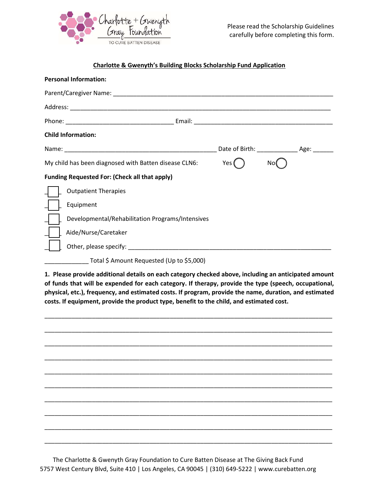

## Charlotte & Gwenyth's Building Blocks Scholarship Fund Application

| <b>Personal Information:</b>                                                                                                                                                                                                   |                                                  |                     |     |  |
|--------------------------------------------------------------------------------------------------------------------------------------------------------------------------------------------------------------------------------|--------------------------------------------------|---------------------|-----|--|
| Parent/Caregiver Name: Name: Name: Name and Allen Annual Allen Annual Allen Annual Allen Annual Allen Annual A                                                                                                                 |                                                  |                     |     |  |
|                                                                                                                                                                                                                                |                                                  |                     |     |  |
|                                                                                                                                                                                                                                |                                                  |                     |     |  |
| <b>Child Information:</b>                                                                                                                                                                                                      |                                                  |                     |     |  |
|                                                                                                                                                                                                                                |                                                  | Date of Birth: Age: |     |  |
| My child has been diagnosed with Batten disease CLN6:                                                                                                                                                                          |                                                  | Yes (               | No. |  |
| <b>Funding Requested For: (Check all that apply)</b>                                                                                                                                                                           |                                                  |                     |     |  |
| <b>Outpatient Therapies</b>                                                                                                                                                                                                    |                                                  |                     |     |  |
| Equipment                                                                                                                                                                                                                      |                                                  |                     |     |  |
|                                                                                                                                                                                                                                | Developmental/Rehabilitation Programs/Intensives |                     |     |  |
| Aide/Nurse/Caretaker                                                                                                                                                                                                           |                                                  |                     |     |  |
| Other, please specify: Department of the state of the state of the state of the state of the state of the state of the state of the state of the state of the state of the state of the state of the state of the state of the |                                                  |                     |     |  |
|                                                                                                                                                                                                                                |                                                  |                     |     |  |

\_\_\_\_\_\_\_\_\_\_\_\_\_ Total \$ Amount Requested (Up to \$5,000)

1. Please provide additional details on each category checked above, including an anticipated amount of funds that will be expended for each category. If therapy, provide the type (speech, occupational, physical, etc.), frequency, and estimated costs. If program, provide the name, duration, and estimated costs. If equipment, provide the product type, benefit to the child, and estimated cost.



The Charlotte & Gwenyth Gray Foundation to Cure Batten Disease at The Giving Back Fund 5757 West Century Blvd, Suite 410 | Los Angeles, CA 90045 | (310) 649-5222 | www.curebatten.org